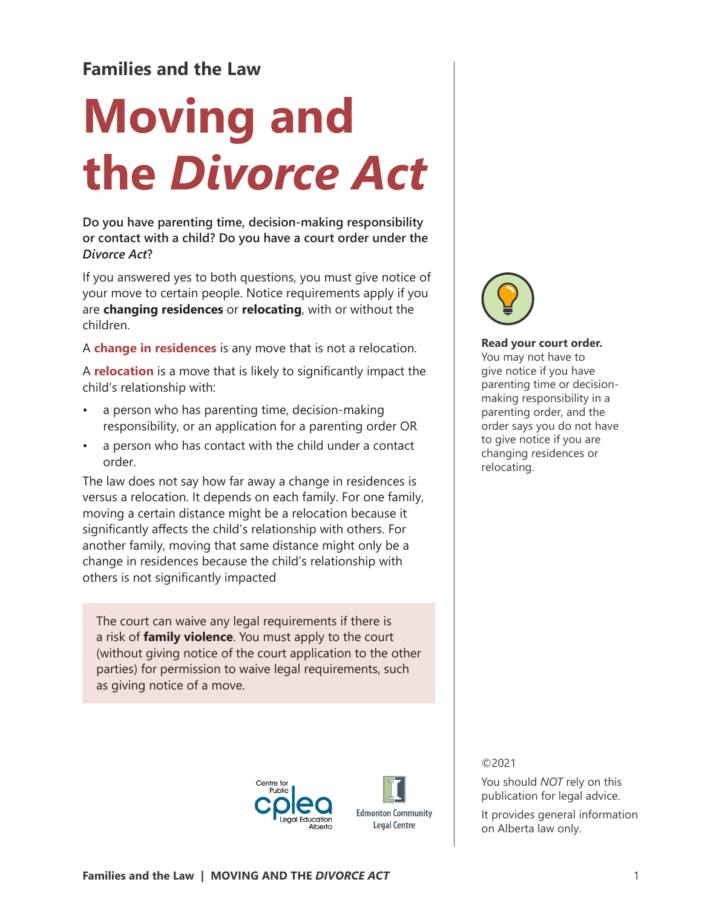# **Families and the Law**

# **Moving and the** *Divorce Act*

**Do you have parenting time, decision-making responsibility or contact with a child? Do you have a court order under the**  *Divorce Act***?**

If you answered yes to both questions, you must give notice of your move to certain people. Notice requirements apply if you are **changing residences** or **relocating**, with or without the children.

A **change in residences** is any move that is not a relocation.

A **relocation** is a move that is likely to significantly impact the child's relationship with:

- a person who has parenting time, decision-making responsibility, or an application for a parenting order OR
- a person who has contact with the child under a contact order.

The law does not say how far away a change in residences is versus a relocation. It depends on each family. For one family, moving a certain distance might be a relocation because it significantly affects the child's relationship with others. For another family, moving that same distance might only be a change in residences because the child's relationship with others is not significantly impacted

The court can waive any legal requirements if there is a risk of **family violence**. You must apply to the court (without giving notice of the court application to the other parties) for permission to waive legal requirements, such as giving notice of a move.







#### **Read your court order.**

You may not have to give notice if you have parenting time or decisionmaking responsibility in a parenting order, and the order says you do not have to give notice if you are changing residences or relocating.

### ©2021

You should *NOT* rely on this publication for legal advice.

It provides general information on Alberta law only.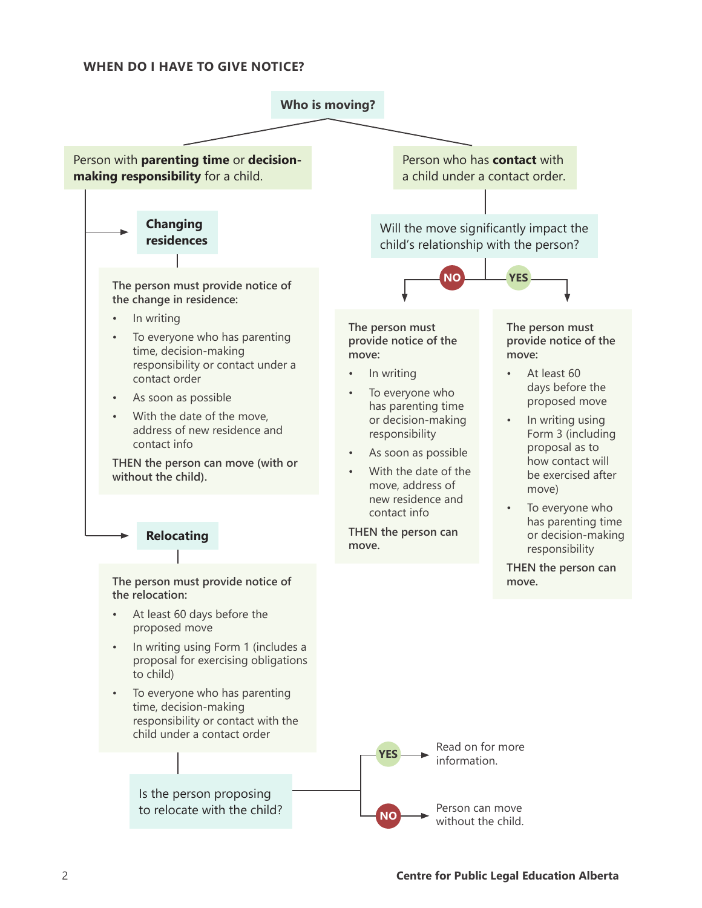#### **WHEN DO I HAVE TO GIVE NOTICE?**

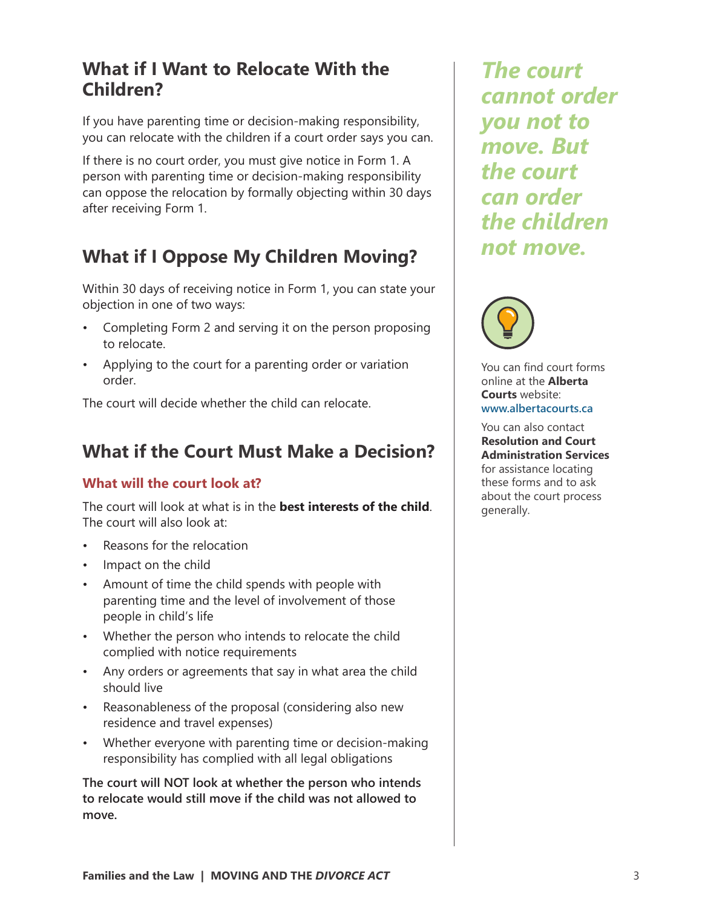## **What if I Want to Relocate With the Children?**

If you have parenting time or decision-making responsibility, you can relocate with the children if a court order says you can.

If there is no court order, you must give notice in Form 1. A person with parenting time or decision-making responsibility can oppose the relocation by formally objecting within 30 days after receiving Form 1.

# **What if I Oppose My Children Moving?**

Within 30 days of receiving notice in Form 1, you can state your objection in one of two ways:

- Completing Form 2 and serving it on the person proposing to relocate.
- Applying to the court for a parenting order or variation order.

The court will decide whether the child can relocate.

# **What if the Court Must Make a Decision?**

## **What will the court look at?**

The court will look at what is in the **best interests of the child**. The court will also look at:

- Reasons for the relocation
- Impact on the child
- Amount of time the child spends with people with parenting time and the level of involvement of those people in child's life
- Whether the person who intends to relocate the child complied with notice requirements
- Any orders or agreements that say in what area the child should live
- Reasonableness of the proposal (considering also new residence and travel expenses)
- Whether everyone with parenting time or decision-making responsibility has complied with all legal obligations

**The court will NOT look at whether the person who intends to relocate would still move if the child was not allowed to move.**

*The court cannot order you not to move. But the court can order the children not move.*



You can find court forms online at the **Alberta Courts** website: **www.albertacourts.ca**

You can also contact **Resolution and Court Administration Services** for assistance locating these forms and to ask about the court process generally.